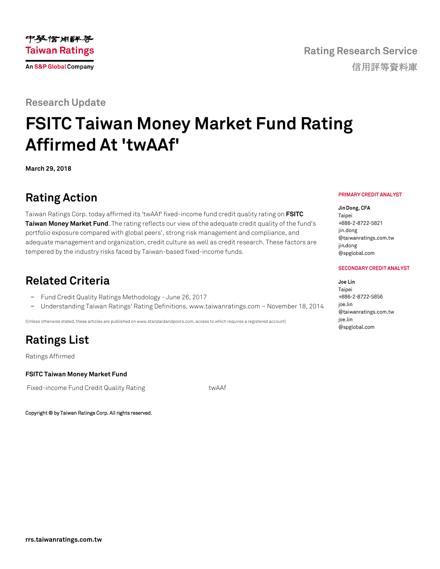### **Research Update**

# **FSITC Taiwan Money Market Fund Rating Affirmed At 'twAAf'**

**March 29, 2018**

## **Rating Action**

Taiwan Ratings Corp. today affirmed its 'twAAf' fixed-income fund credit quality rating on **[FSITC](https://rrs.taiwanratings.com.tw/portal/member/viewFund/536)  [Taiwan Money Market Fund](https://rrs.taiwanratings.com.tw/portal/member/viewFund/536)**. The rating reflects our view of the adequate credit quality of the fund's portfolio exposure compared with global peers', strong risk management and compliance, and adequate management and organization, credit culture as well as credit research. These factors are tempered by the industry risks faced by Taiwan-based fixed-income funds.

### **Related Criteria**

- − Fund Credit Quality Ratings Methodology June 26, 2017
- − Understanding Taiwan Ratings' Rating Definitions, www.taiwanratings.com November 18, 2014

(Unless otherwise stated, these articles are published on www.standardandpoors.com, access to which requires a registered account)

# **Ratings List**

Ratings Affirmed

### **FSITC Taiwan Money Market Fund**

Fixed-income Fund Credit Quality Rating The Translation of twAAf

Copyright © by Taiwan Ratings Corp. All rights reserved.

#### PRIMARY CREDIT ANALYST

**Rating Research Service**

信用評等資料庫

Jin Dong, CFA Taipei +886-2-8722-5821 jin.dong @taiwanratings.com.tw jin.dong @spglobal.com

#### **SECONDARY CREDIT ANALYST**

Joe Lin Taipei +886-2-8722-5856 ioe.lin @taiwanratings.com.tw ioe.lin @spglobal.com

中梦信用评等 **Taiwan Ratings An S&P Global Company**